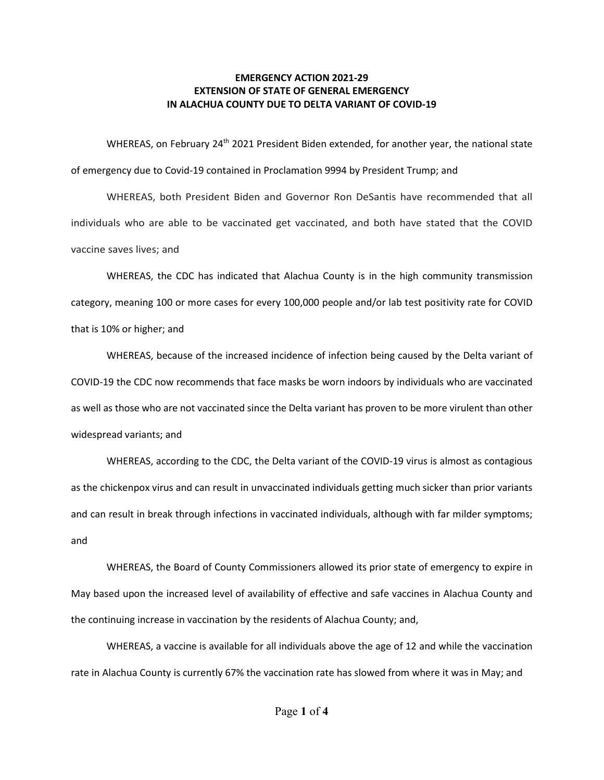## **EMERGENCY ACTION 2021-29 EXTENSION OF STATE OF GENERAL EMERGENCY IN ALACHUA COUNTY DUE TO DELTA VARIANT OF COVID-19**

WHEREAS, on February 24<sup>th</sup> 2021 President Biden extended, for another year, the national state of emergency due to Covid-19 contained in Proclamation 9994 by President Trump; and

WHEREAS, both President Biden and Governor Ron DeSantis have recommended that all individuals who are able to be vaccinated get vaccinated, and both have stated that the COVID vaccine saves lives; and

WHEREAS, the CDC has indicated that Alachua County is in the high community transmission category, meaning 100 or more cases for every 100,000 people and/or lab test positivity rate for COVID that is 10% or higher; and

WHEREAS, because of the increased incidence of infection being caused by the Delta variant of COVID-19 the CDC now recommends that face masks be worn indoors by individuals who are vaccinated as well as those who are not vaccinated since the Delta variant has proven to be more virulent than other widespread variants; and

WHEREAS, according to the CDC, the Delta variant of the COVID-19 virus is almost as contagious as the chickenpox virus and can result in unvaccinated individuals getting much sicker than prior variants and can result in break through infections in vaccinated individuals, although with far milder symptoms; and

WHEREAS, the Board of County Commissioners allowed its prior state of emergency to expire in May based upon the increased level of availability of effective and safe vaccines in Alachua County and the continuing increase in vaccination by the residents of Alachua County; and,

WHEREAS, a vaccine is available for all individuals above the age of 12 and while the vaccination rate in Alachua County is currently 67% the vaccination rate has slowed from where it was in May; and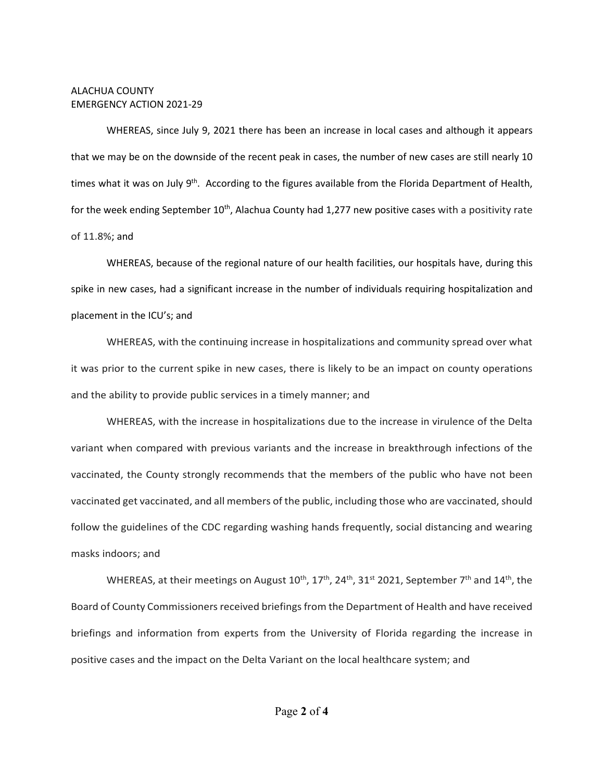## ALACHUA COUNTY EMERGENCY ACTION 2021-29

WHEREAS, since July 9, 2021 there has been an increase in local cases and although it appears that we may be on the downside of the recent peak in cases, the number of new cases are still nearly 10 times what it was on July  $9<sup>th</sup>$ . According to the figures available from the Florida Department of Health, for the week ending September  $10^{th}$ , Alachua County had 1,277 new positive cases with a positivity rate of 11.8%; and

WHEREAS, because of the regional nature of our health facilities, our hospitals have, during this spike in new cases, had a significant increase in the number of individuals requiring hospitalization and placement in the ICU's; and

WHEREAS, with the continuing increase in hospitalizations and community spread over what it was prior to the current spike in new cases, there is likely to be an impact on county operations and the ability to provide public services in a timely manner; and

WHEREAS, with the increase in hospitalizations due to the increase in virulence of the Delta variant when compared with previous variants and the increase in breakthrough infections of the vaccinated, the County strongly recommends that the members of the public who have not been vaccinated get vaccinated, and all members of the public, including those who are vaccinated, should follow the guidelines of the CDC regarding washing hands frequently, social distancing and wearing masks indoors; and

WHEREAS, at their meetings on August  $10^{th}$ ,  $17^{th}$ ,  $24^{th}$ ,  $31^{st}$  2021, September  $7^{th}$  and  $14^{th}$ , the Board of County Commissioners received briefings from the Department of Health and have received briefings and information from experts from the University of Florida regarding the increase in positive cases and the impact on the Delta Variant on the local healthcare system; and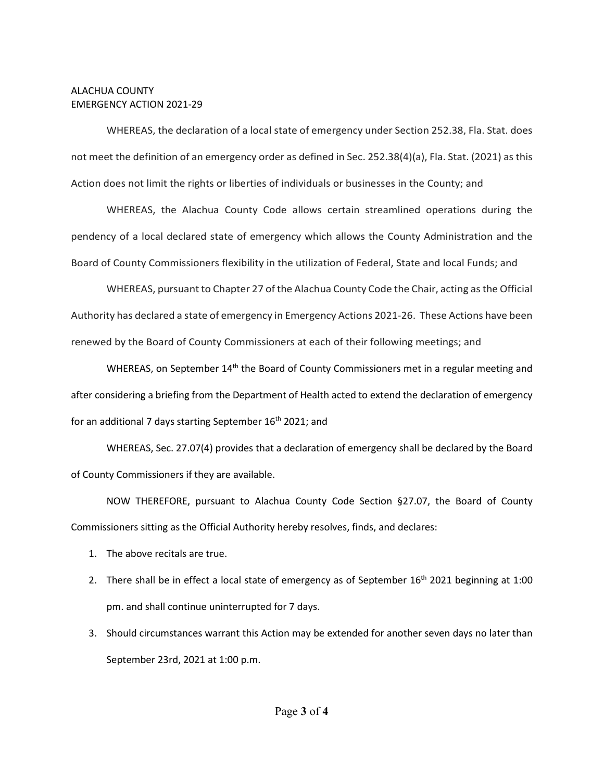## ALACHUA COUNTY EMERGENCY ACTION 2021-29

WHEREAS, the declaration of a local state of emergency under Section 252.38, Fla. Stat. does not meet the definition of an emergency order as defined in Sec. 252.38(4)(a), Fla. Stat. (2021) as this Action does not limit the rights or liberties of individuals or businesses in the County; and

WHEREAS, the Alachua County Code allows certain streamlined operations during the pendency of a local declared state of emergency which allows the County Administration and the Board of County Commissioners flexibility in the utilization of Federal, State and local Funds; and

WHEREAS, pursuant to Chapter 27 of the Alachua County Code the Chair, acting as the Official Authority has declared a state of emergency in Emergency Actions 2021-26. These Actions have been renewed by the Board of County Commissioners at each of their following meetings; and

WHEREAS, on September 14<sup>th</sup> the Board of County Commissioners met in a regular meeting and after considering a briefing from the Department of Health acted to extend the declaration of emergency for an additional 7 days starting September 16<sup>th</sup> 2021; and

WHEREAS, Sec. 27.07(4) provides that a declaration of emergency shall be declared by the Board of County Commissioners if they are available.

NOW THEREFORE, pursuant to Alachua County Code Section §27.07, the Board of County Commissioners sitting as the Official Authority hereby resolves, finds, and declares:

- 1. The above recitals are true.
- 2. There shall be in effect a local state of emergency as of September  $16<sup>th</sup>$  2021 beginning at 1:00 pm. and shall continue uninterrupted for 7 days.
- 3. Should circumstances warrant this Action may be extended for another seven days no later than September 23rd, 2021 at 1:00 p.m.